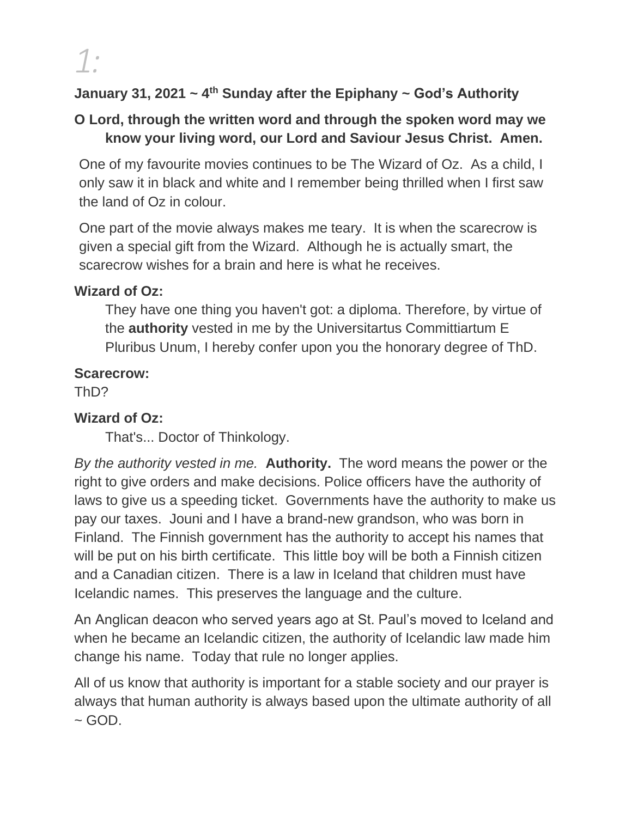### **January 31, 2021 ~ 4th Sunday after the Epiphany ~ God's Authority**

### **O Lord, through the written word and through the spoken word may we know your living word, our Lord and Saviour Jesus Christ. Amen.**

One of my favourite movies continues to be The Wizard of Oz. As a child, I only saw it in black and white and I remember being thrilled when I first saw the land of Oz in colour.

One part of the movie always makes me teary. It is when the scarecrow is given a special gift from the Wizard. Although he is actually smart, the scarecrow wishes for a brain and here is what he receives.

#### **Wizard of Oz:**

They have one thing you haven't got: a diploma. Therefore, by virtue of the **authority** vested in me by the Universitartus Committiartum E Pluribus Unum, I hereby confer upon you the honorary degree of ThD.

#### **Scarecrow:**

ThD?

### **Wizard of Oz:**

That's... Doctor of Thinkology.

*By the authority vested in me.* **Authority.** The word means the power or the right to give orders and make decisions. Police officers have the authority of laws to give us a speeding ticket. Governments have the authority to make us pay our taxes. Jouni and I have a brand-new grandson, who was born in Finland. The Finnish government has the authority to accept his names that will be put on his birth certificate. This little boy will be both a Finnish citizen and a Canadian citizen. There is a law in Iceland that children must have Icelandic names. This preserves the language and the culture.

An Anglican deacon who served years ago at St. Paul's moved to Iceland and when he became an Icelandic citizen, the authority of Icelandic law made him change his name. Today that rule no longer applies.

All of us know that authority is important for a stable society and our prayer is always that human authority is always based upon the ultimate authority of all  $\sim$  GOD.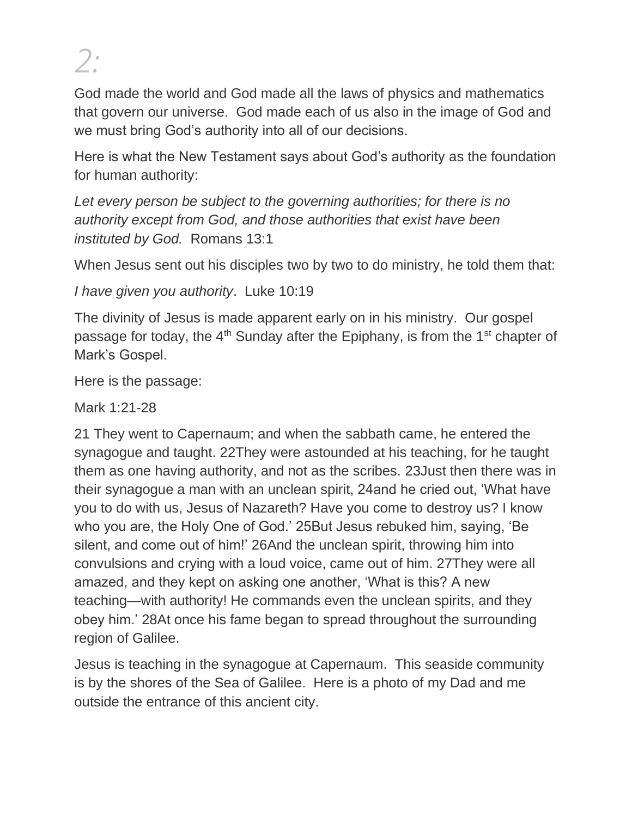God made the world and God made all the laws of physics and mathematics that govern our universe. God made each of us also in the image of God and we must bring God's authority into all of our decisions.

Here is what the New Testament says about God's authority as the foundation for human authority:

*Let every person be subject to the governing authorities; for there is no authority except from God, and those authorities that exist have been instituted by God.* Romans 13:1

When Jesus sent out his disciples two by two to do ministry, he told them that:

*I have given you authority*. Luke 10:19

The divinity of Jesus is made apparent early on in his ministry. Our gospel passage for today, the  $4<sup>th</sup>$  Sunday after the Epiphany, is from the  $1<sup>st</sup>$  chapter of Mark's Gospel.

Here is the passage:

Mark 1:21-28

21 They went to Capernaum; and when the sabbath came, he entered the synagogue and taught. 22They were astounded at his teaching, for he taught them as one having authority, and not as the scribes. 23Just then there was in their synagogue a man with an unclean spirit, 24and he cried out, 'What have you to do with us, Jesus of Nazareth? Have you come to destroy us? I know who you are, the Holy One of God.' 25But Jesus rebuked him, saying, 'Be silent, and come out of him!' 26And the unclean spirit, throwing him into convulsions and crying with a loud voice, came out of him. 27They were all amazed, and they kept on asking one another, 'What is this? A new teaching—with authority! He commands even the unclean spirits, and they obey him.' 28At once his fame began to spread throughout the surrounding region of Galilee.

Jesus is teaching in the synagogue at Capernaum. This seaside community is by the shores of the Sea of Galilee. Here is a photo of my Dad and me outside the entrance of this ancient city.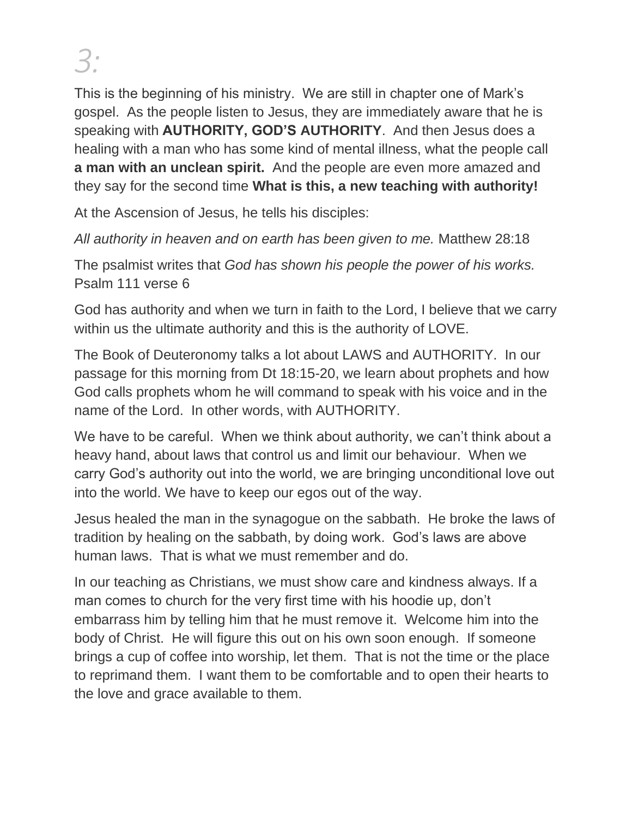This is the beginning of his ministry. We are still in chapter one of Mark's gospel. As the people listen to Jesus, they are immediately aware that he is speaking with **AUTHORITY, GOD'S AUTHORITY**. And then Jesus does a healing with a man who has some kind of mental illness, what the people call **a man with an unclean spirit.** And the people are even more amazed and they say for the second time **What is this, a new teaching with authority!**

At the Ascension of Jesus, he tells his disciples:

*All authority in heaven and on earth has been given to me.* Matthew 28:18

The psalmist writes that *God has shown his people the power of his works.* Psalm 111 verse 6

God has authority and when we turn in faith to the Lord, I believe that we carry within us the ultimate authority and this is the authority of LOVE.

The Book of Deuteronomy talks a lot about LAWS and AUTHORITY. In our passage for this morning from Dt 18:15-20, we learn about prophets and how God calls prophets whom he will command to speak with his voice and in the name of the Lord. In other words, with AUTHORITY.

We have to be careful. When we think about authority, we can't think about a heavy hand, about laws that control us and limit our behaviour. When we carry God's authority out into the world, we are bringing unconditional love out into the world. We have to keep our egos out of the way.

Jesus healed the man in the synagogue on the sabbath. He broke the laws of tradition by healing on the sabbath, by doing work. God's laws are above human laws. That is what we must remember and do.

In our teaching as Christians, we must show care and kindness always. If a man comes to church for the very first time with his hoodie up, don't embarrass him by telling him that he must remove it. Welcome him into the body of Christ. He will figure this out on his own soon enough. If someone brings a cup of coffee into worship, let them. That is not the time or the place to reprimand them. I want them to be comfortable and to open their hearts to the love and grace available to them.